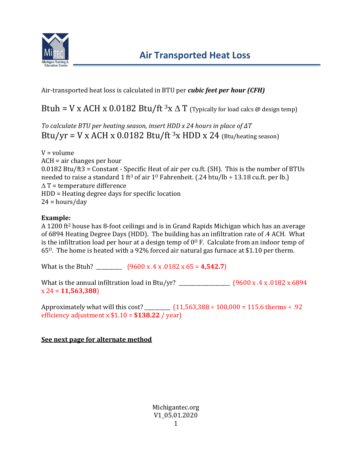

Air-transported heat loss is calculated in BTU per *cubic feet per hour (CFH)*

Btuh = V x ACH x 0.0182 Btu/ft  ${}^3x\Delta$  T (Typically for load calcs @ design temp)

*To calculate BTU per heating season, insert HDD x 24 hours in place of ∆T* Btu/yr = V x ACH x 0.0182 Btu/ft  $3x$  HDD x 24 (Btu/heating season)

V = volume ACH = air changes per hour 0.0182 Btu/ft3 = Constant - Specific Heat of air per cu.ft. (SH). This is the number of BTUs needed to raise a standard 1 ft<sup>3</sup> of air 1<sup>0</sup> Fahrenheit. (.24 btu/lb  $\div$  13.18 cu.ft. per lb.)  $\Delta T$  = temperature difference HDD = Heating degree days for specific location  $24 = hours/day$ 

## **Example:**

A 1200 ft<sup>2</sup> house has 8-foot ceilings and is in Grand Rapids Michigan which has an average of 6894 Heating Degree Days (HDD). The building has an infiltration rate of .4 ACH. What is the infiltration load per hour at a design temp of  $0^{\circ}$  F. Calculate from an indoor temp of 65O. The home is heated with a 92% forced air natural gas furnace at \$1.10 per therm.

What is the Btuh? \_\_\_\_\_\_\_\_\_\_ (9600 x .4 x .0182 x 65 = **4,542.7**)

What is the annual infiltration load in Btu/yr? \_\_\_\_\_\_\_\_\_\_\_\_\_\_\_\_\_\_\_\_ (9600 x .4 x .0182 x 6894 x 24 = **11,563,388**)

Approximately what will this cost? \_\_\_\_\_\_\_\_\_\_  $(11,563,388 \div 100,000 = 115.6$  therms  $\div .92$ efficiency adjustment x \$1.10 = **\$138.22** / year)

## **See next page for alternate method**